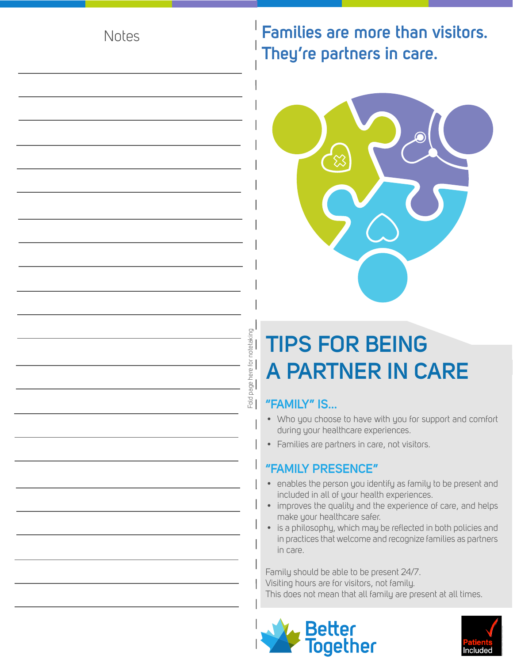#### **Notes**

### **Families are more than visitors. They're partners in care.**



## **TIPS FOR BEING A PARTNER IN CARE**

#### **"FAMILY" IS...**

Fold page here for notetaking

Fold page here for notetaking<br>————————————————————

- Who you choose to have with you for support and comfort during your healthcare experiences.
- Families are partners in care, not visitors.

#### **"FAMILY PRESENCE"**

- enables the person you identify as family to be present and included in all of your health experiences.
- improves the quality and the experience of care, and helps make your healthcare safer.
- is a philosophy, which may be reflected in both policies and in practices that welcome and recognize families as partners in care.

Family should be able to be present 24/7. Visiting hours are for visitors, not family. This does not mean that all family are present at all times.